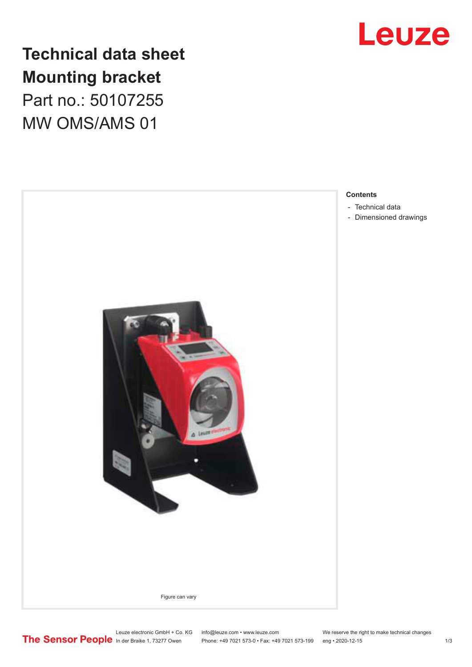

## **Technical data sheet Mounting bracket**

Part no.: 50107255 MW OMS/AMS 01



- [Dimensioned drawings](#page-2-0)

Leuze electronic GmbH + Co. KG info@leuze.com • www.leuze.com We reserve the right to make technical changes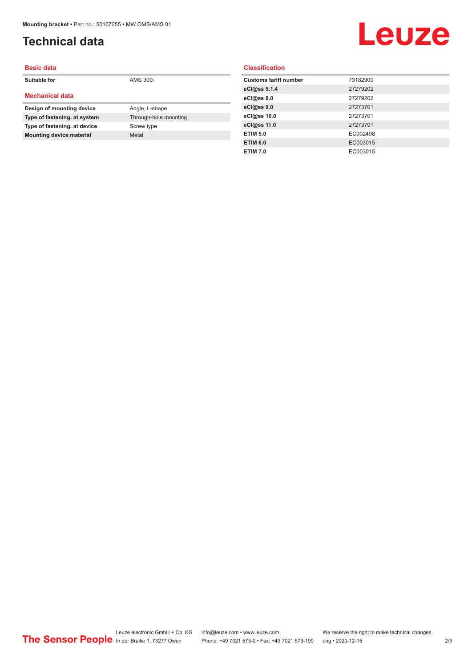## <span id="page-1-0"></span>**Technical data**

# Leuze

| <b>Basic data</b>               |                       |
|---------------------------------|-----------------------|
| Suitable for                    | <b>AMS 300i</b>       |
| <b>Mechanical data</b>          |                       |
| Design of mounting device       | Angle, L-shape        |
| Type of fastening, at system    | Through-hole mounting |
| Type of fastening, at device    | Screw type            |
| <b>Mounting device material</b> | Metal                 |
|                                 |                       |

#### **Classification**

| <b>Customs tariff number</b> | 73182900 |
|------------------------------|----------|
| eCl@ss 5.1.4                 | 27279202 |
| eCl@ss 8.0                   | 27279202 |
| eCl@ss 9.0                   | 27273701 |
| eCl@ss 10.0                  | 27273701 |
| eCl@ss 11.0                  | 27273701 |
| <b>ETIM 5.0</b>              | EC002498 |
| <b>ETIM 6.0</b>              | EC003015 |
| <b>ETIM 7.0</b>              | EC003015 |
|                              |          |